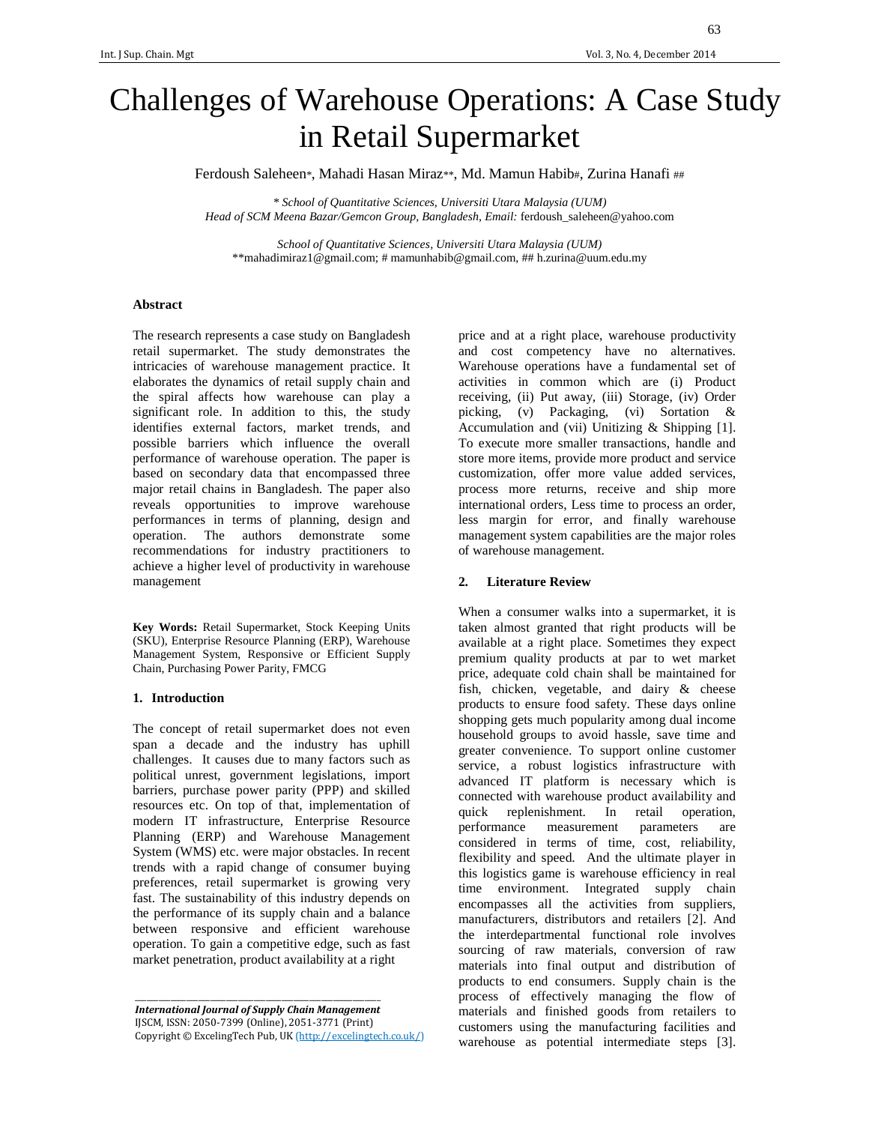# Challenges of Warehouse Operations: A Case Study in Retail Supermarket

Ferdoush Saleheen\*, Mahadi Hasan Miraz\*\*, Md. Mamun Habib#, Zurina Hanafi ##

*\* School of Quantitative Sciences, Universiti Utara Malaysia (UUM) Head of SCM Meena Bazar/Gemcon Group, Bangladesh, Email:* ferdoush\_saleheen@yahoo.com

*School of Quantitative Sciences, Universiti Utara Malaysia (UUM)*  \*\*mahadimiraz1@gmail.com; # mamunhabib@gmail.com, ## h.zurina@uum.edu.my

## **Abstract**

The research represents a case study on Bangladesh retail supermarket. The study demonstrates the intricacies of warehouse management practice. It elaborates the dynamics of retail supply chain and the spiral affects how warehouse can play a significant role. In addition to this, the study identifies external factors, market trends, and possible barriers which influence the overall performance of warehouse operation. The paper is based on secondary data that encompassed three major retail chains in Bangladesh. The paper also reveals opportunities to improve warehouse performances in terms of planning, design and operation. The authors demonstrate some recommendations for industry practitioners to achieve a higher level of productivity in warehouse management

**Key Words:** Retail Supermarket, Stock Keeping Units (SKU), Enterprise Resource Planning (ERP), Warehouse Management System, Responsive or Efficient Supply Chain, Purchasing Power Parity, FMCG

#### **1. Introduction**

The concept of retail supermarket does not even span a decade and the industry has uphill challenges. It causes due to many factors such as political unrest, government legislations, import barriers, purchase power parity (PPP) and skilled resources etc. On top of that, implementation of modern IT infrastructure, Enterprise Resource Planning (ERP) and Warehouse Management System (WMS) etc. were major obstacles. In recent trends with a rapid change of consumer buying preferences, retail supermarket is growing very fast. The sustainability of this industry depends on the performance of its supply chain and a balance between responsive and efficient warehouse operation. To gain a competitive edge, such as fast market penetration, product availability at a right

*International Journal of Supply Chain Management*  IJSCM, ISSN: 2050-7399 (Online), 2051-3771 (Print) Copyright © ExcelingTech Pub, UK (http://excelingtech.co.uk/)

\_\_\_\_\_\_\_\_\_\_\_\_\_\_\_\_\_\_\_\_\_\_\_\_\_\_\_\_\_\_\_\_\_\_\_\_\_\_\_\_\_\_\_\_\_\_\_\_\_\_\_\_\_\_\_\_\_\_\_\_\_\_

price and at a right place, warehouse productivity and cost competency have no alternatives. Warehouse operations have a fundamental set of activities in common which are (i) Product receiving, (ii) Put away, (iii) Storage, (iv) Order picking, (v) Packaging, (vi) Sortation & Accumulation and (vii) Unitizing & Shipping [1]. To execute more smaller transactions, handle and store more items, provide more product and service customization, offer more value added services, process more returns, receive and ship more international orders, Less time to process an order, less margin for error, and finally warehouse management system capabilities are the major roles of warehouse management.

### **2. Literature Review**

When a consumer walks into a supermarket, it is taken almost granted that right products will be available at a right place. Sometimes they expect premium quality products at par to wet market price, adequate cold chain shall be maintained for fish, chicken, vegetable, and dairy & cheese products to ensure food safety. These days online shopping gets much popularity among dual income household groups to avoid hassle, save time and greater convenience. To support online customer service, a robust logistics infrastructure with advanced IT platform is necessary which is connected with warehouse product availability and quick replenishment. In retail operation, performance measurement parameters are considered in terms of time, cost, reliability, flexibility and speed. And the ultimate player in this logistics game is warehouse efficiency in real time environment. Integrated supply chain encompasses all the activities from suppliers, manufacturers, distributors and retailers [2]. And the interdepartmental functional role involves sourcing of raw materials, conversion of raw materials into final output and distribution of products to end consumers. Supply chain is the process of effectively managing the flow of materials and finished goods from retailers to customers using the manufacturing facilities and warehouse as potential intermediate steps [3].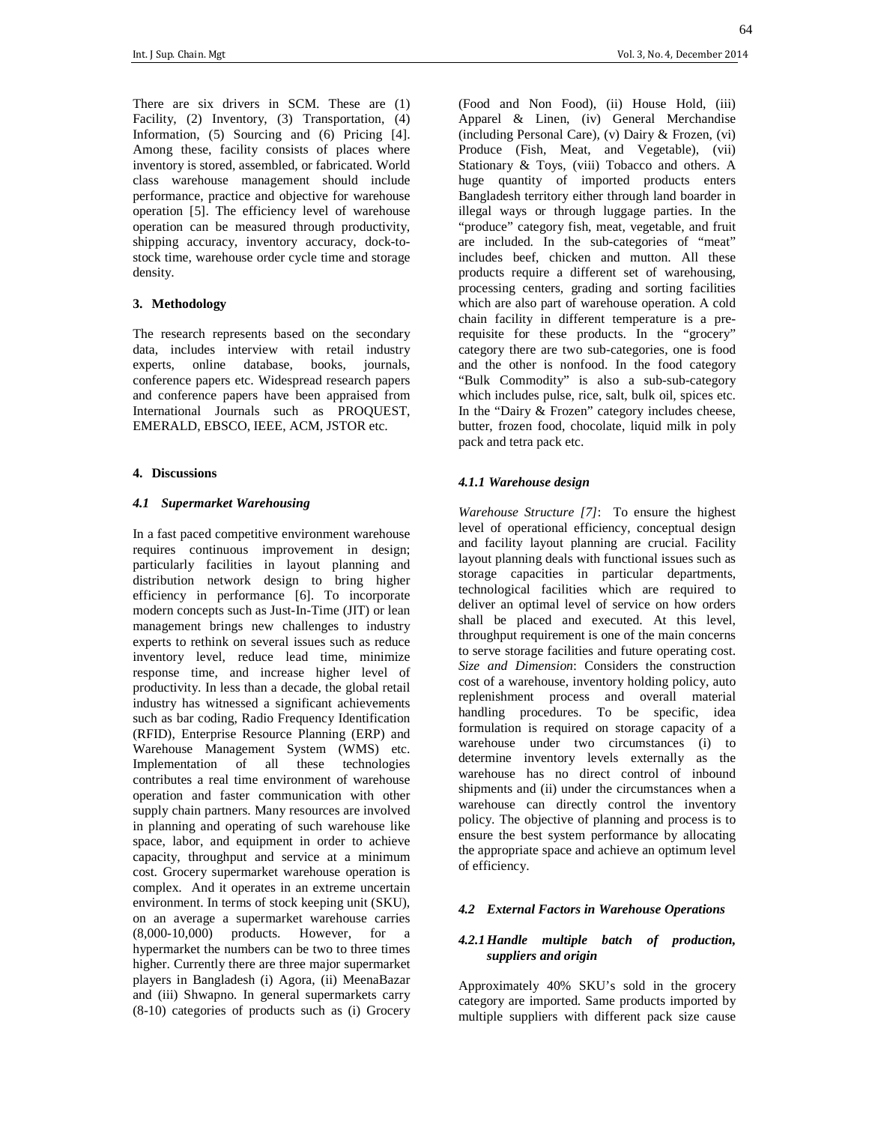There are six drivers in SCM. These are (1) Facility, (2) Inventory, (3) Transportation, (4) Information, (5) Sourcing and (6) Pricing [4]. Among these, facility consists of places where inventory is stored, assembled, or fabricated. World class warehouse management should include performance, practice and objective for warehouse operation [5]. The efficiency level of warehouse operation can be measured through productivity, shipping accuracy, inventory accuracy, dock-tostock time, warehouse order cycle time and storage density.

# **3. Methodology**

The research represents based on the secondary data, includes interview with retail industry experts, online database, books, journals, conference papers etc. Widespread research papers and conference papers have been appraised from International Journals such as PROQUEST, EMERALD, EBSCO, IEEE, ACM, JSTOR etc.

#### **4. Discussions**

#### *4.1 Supermarket Warehousing*

In a fast paced competitive environment warehouse requires continuous improvement in design; particularly facilities in layout planning and distribution network design to bring higher efficiency in performance [6]. To incorporate modern concepts such as Just-In-Time (JIT) or lean management brings new challenges to industry experts to rethink on several issues such as reduce inventory level, reduce lead time, minimize response time, and increase higher level of productivity. In less than a decade, the global retail industry has witnessed a significant achievements such as bar coding, Radio Frequency Identification (RFID), Enterprise Resource Planning (ERP) and Warehouse Management System (WMS) etc. Implementation of all these technologies contributes a real time environment of warehouse operation and faster communication with other supply chain partners. Many resources are involved in planning and operating of such warehouse like space, labor, and equipment in order to achieve capacity, throughput and service at a minimum cost. Grocery supermarket warehouse operation is complex. And it operates in an extreme uncertain environment. In terms of stock keeping unit (SKU), on an average a supermarket warehouse carries (8,000-10,000) products. However, for a hypermarket the numbers can be two to three times higher. Currently there are three major supermarket players in Bangladesh (i) Agora, (ii) MeenaBazar and (iii) Shwapno. In general supermarkets carry (8-10) categories of products such as (i) Grocery

(Food and Non Food), (ii) House Hold, (iii) Apparel & Linen, (iv) General Merchandise (including Personal Care), (v) Dairy & Frozen, (vi) Produce (Fish, Meat, and Vegetable), (vii) Stationary & Toys, (viii) Tobacco and others. A huge quantity of imported products enters Bangladesh territory either through land boarder in illegal ways or through luggage parties. In the "produce" category fish, meat, vegetable, and fruit are included. In the sub-categories of "meat" includes beef, chicken and mutton. All these products require a different set of warehousing, processing centers, grading and sorting facilities which are also part of warehouse operation. A cold chain facility in different temperature is a prerequisite for these products. In the "grocery" category there are two sub-categories, one is food and the other is nonfood. In the food category "Bulk Commodity" is also a sub-sub-category which includes pulse, rice, salt, bulk oil, spices etc. In the "Dairy & Frozen" category includes cheese, butter, frozen food, chocolate, liquid milk in poly pack and tetra pack etc.

## *4.1.1 Warehouse design*

*Warehouse Structure [7]*: To ensure the highest level of operational efficiency, conceptual design and facility layout planning are crucial. Facility layout planning deals with functional issues such as storage capacities in particular departments, technological facilities which are required to deliver an optimal level of service on how orders shall be placed and executed. At this level, throughput requirement is one of the main concerns to serve storage facilities and future operating cost. *Size and Dimension*: Considers the construction cost of a warehouse, inventory holding policy, auto replenishment process and overall material handling procedures. To be specific, idea formulation is required on storage capacity of a warehouse under two circumstances (i) to determine inventory levels externally as the warehouse has no direct control of inbound shipments and (ii) under the circumstances when a warehouse can directly control the inventory policy. The objective of planning and process is to ensure the best system performance by allocating the appropriate space and achieve an optimum level of efficiency.

# *4.2 External Factors in Warehouse Operations*

## *4.2.1Handle multiple batch of production, suppliers and origin*

Approximately 40% SKU's sold in the grocery category are imported. Same products imported by multiple suppliers with different pack size cause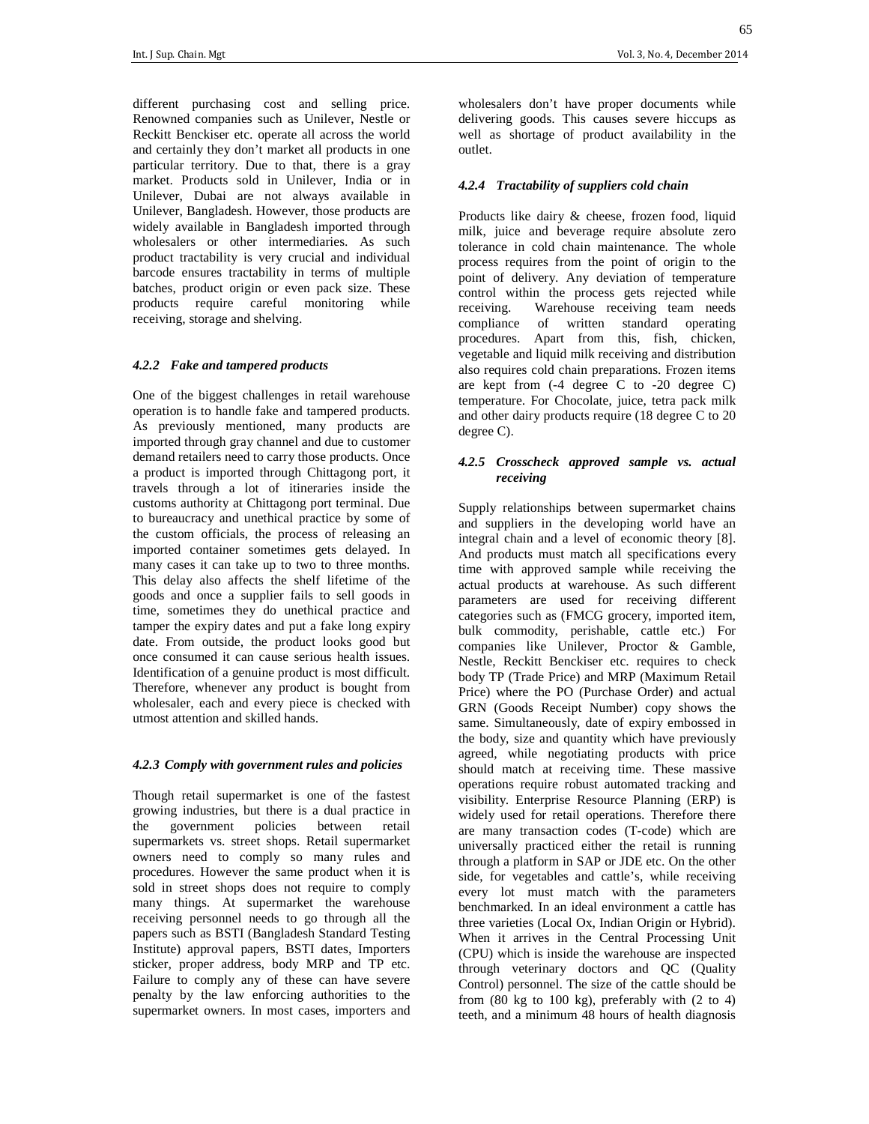wholesalers don't have proper documents while delivering goods. This causes severe hiccups as well as shortage of product availability in the

outlet.

# *4.2.4 Tractability of suppliers cold chain*

Products like dairy & cheese, frozen food, liquid milk, juice and beverage require absolute zero tolerance in cold chain maintenance. The whole process requires from the point of origin to the point of delivery. Any deviation of temperature control within the process gets rejected while receiving. Warehouse receiving team needs compliance of written standard operating procedures. Apart from this, fish, chicken, vegetable and liquid milk receiving and distribution also requires cold chain preparations. Frozen items are kept from (-4 degree C to -20 degree C) temperature. For Chocolate, juice, tetra pack milk and other dairy products require (18 degree C to 20 degree C).

# *4.2.5 Crosscheck approved sample vs. actual receiving*

Supply relationships between supermarket chains and suppliers in the developing world have an integral chain and a level of economic theory [8]. And products must match all specifications every time with approved sample while receiving the actual products at warehouse. As such different parameters are used for receiving different categories such as (FMCG grocery, imported item, bulk commodity, perishable, cattle etc.) For companies like Unilever, Proctor & Gamble, Nestle, Reckitt Benckiser etc. requires to check body TP (Trade Price) and MRP (Maximum Retail Price) where the PO (Purchase Order) and actual GRN (Goods Receipt Number) copy shows the same. Simultaneously, date of expiry embossed in the body, size and quantity which have previously agreed, while negotiating products with price should match at receiving time. These massive operations require robust automated tracking and visibility. Enterprise Resource Planning (ERP) is widely used for retail operations. Therefore there are many transaction codes (T-code) which are universally practiced either the retail is running through a platform in SAP or JDE etc. On the other side, for vegetables and cattle's, while receiving every lot must match with the parameters benchmarked. In an ideal environment a cattle has three varieties (Local Ox, Indian Origin or Hybrid). When it arrives in the Central Processing Unit (CPU) which is inside the warehouse are inspected through veterinary doctors and QC (Quality Control) personnel. The size of the cattle should be from  $(80 \text{ kg to } 100 \text{ kg})$ , preferably with  $(2 \text{ to } 4)$ teeth, and a minimum 48 hours of health diagnosis

different purchasing cost and selling price. Renowned companies such as Unilever, Nestle or Reckitt Benckiser etc. operate all across the world and certainly they don't market all products in one particular territory. Due to that, there is a gray market. Products sold in Unilever, India or in Unilever, Dubai are not always available in Unilever, Bangladesh. However, those products are widely available in Bangladesh imported through wholesalers or other intermediaries. As such product tractability is very crucial and individual barcode ensures tractability in terms of multiple batches, product origin or even pack size. These products require careful monitoring while receiving, storage and shelving.

# *4.2.2 Fake and tampered products*

One of the biggest challenges in retail warehouse operation is to handle fake and tampered products. As previously mentioned, many products are imported through gray channel and due to customer demand retailers need to carry those products. Once a product is imported through Chittagong port, it travels through a lot of itineraries inside the customs authority at Chittagong port terminal. Due to bureaucracy and unethical practice by some of the custom officials, the process of releasing an imported container sometimes gets delayed. In many cases it can take up to two to three months. This delay also affects the shelf lifetime of the goods and once a supplier fails to sell goods in time, sometimes they do unethical practice and tamper the expiry dates and put a fake long expiry date. From outside, the product looks good but once consumed it can cause serious health issues. Identification of a genuine product is most difficult. Therefore, whenever any product is bought from wholesaler, each and every piece is checked with utmost attention and skilled hands.

# *4.2.3 Comply with government rules and policies*

Though retail supermarket is one of the fastest growing industries, but there is a dual practice in the government policies between retail supermarkets vs. street shops. Retail supermarket owners need to comply so many rules and procedures. However the same product when it is sold in street shops does not require to comply many things. At supermarket the warehouse receiving personnel needs to go through all the papers such as BSTI (Bangladesh Standard Testing Institute) approval papers, BSTI dates, Importers sticker, proper address, body MRP and TP etc. Failure to comply any of these can have severe penalty by the law enforcing authorities to the supermarket owners. In most cases, importers and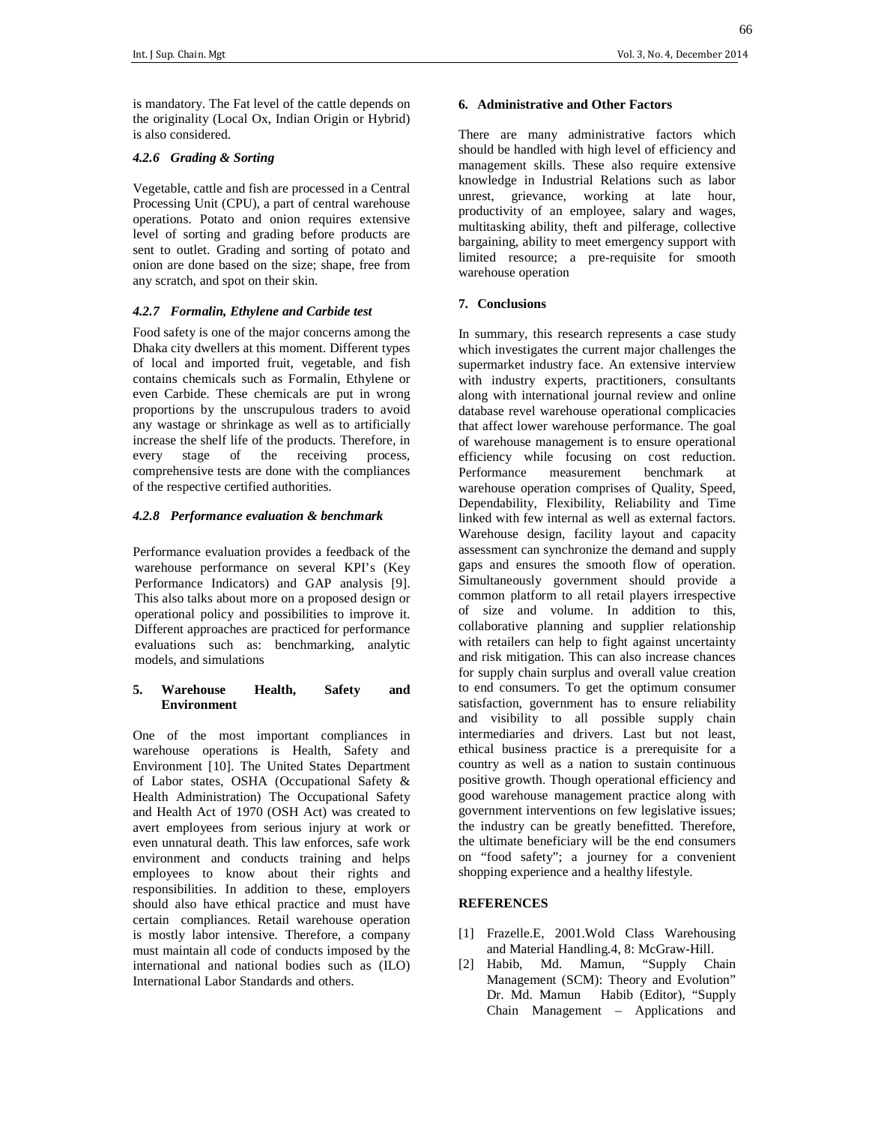66

is mandatory. The Fat level of the cattle depends on the originality (Local Ox, Indian Origin or Hybrid) is also considered.

## *4.2.6 Grading & Sorting*

Vegetable, cattle and fish are processed in a Central Processing Unit (CPU), a part of central warehouse operations. Potato and onion requires extensive level of sorting and grading before products are sent to outlet. Grading and sorting of potato and onion are done based on the size; shape, free from any scratch, and spot on their skin.

# *4.2.7 Formalin, Ethylene and Carbide test*

Food safety is one of the major concerns among the Dhaka city dwellers at this moment. Different types of local and imported fruit, vegetable, and fish contains chemicals such as Formalin, Ethylene or even Carbide. These chemicals are put in wrong proportions by the unscrupulous traders to avoid any wastage or shrinkage as well as to artificially increase the shelf life of the products. Therefore, in every stage of the receiving process, comprehensive tests are done with the compliances of the respective certified authorities.

## *4.2.8 Performance evaluation & benchmark*

Performance evaluation provides a feedback of the warehouse performance on several KPI's (Key Performance Indicators) and GAP analysis [9]. This also talks about more on a proposed design or operational policy and possibilities to improve it. Different approaches are practiced for performance evaluations such as: benchmarking, analytic models, and simulations

## **5. Warehouse Health, Safety and Environment**

One of the most important compliances in warehouse operations is Health, Safety and Environment [10]. The United States Department of Labor states, OSHA (Occupational Safety & Health Administration) The Occupational Safety and Health Act of 1970 (OSH Act) was created to avert employees from serious injury at work or even unnatural death. This law enforces, safe work environment and conducts training and helps employees to know about their rights and responsibilities. In addition to these, employers should also have ethical practice and must have certain compliances. Retail warehouse operation is mostly labor intensive. Therefore, a company must maintain all code of conducts imposed by the international and national bodies such as (ILO) International Labor Standards and others.

#### **6. Administrative and Other Factors**

There are many administrative factors which should be handled with high level of efficiency and management skills. These also require extensive knowledge in Industrial Relations such as labor unrest, grievance, working at late hour, productivity of an employee, salary and wages, multitasking ability, theft and pilferage, collective bargaining, ability to meet emergency support with limited resource; a pre-requisite for smooth warehouse operation

# **7. Conclusions**

In summary, this research represents a case study which investigates the current major challenges the supermarket industry face. An extensive interview with industry experts, practitioners, consultants along with international journal review and online database revel warehouse operational complicacies that affect lower warehouse performance. The goal of warehouse management is to ensure operational efficiency while focusing on cost reduction. Performance measurement benchmark at warehouse operation comprises of Quality, Speed, Dependability, Flexibility, Reliability and Time linked with few internal as well as external factors. Warehouse design, facility layout and capacity assessment can synchronize the demand and supply gaps and ensures the smooth flow of operation. Simultaneously government should provide a common platform to all retail players irrespective of size and volume. In addition to this, collaborative planning and supplier relationship with retailers can help to fight against uncertainty and risk mitigation. This can also increase chances for supply chain surplus and overall value creation to end consumers. To get the optimum consumer satisfaction, government has to ensure reliability and visibility to all possible supply chain intermediaries and drivers. Last but not least, ethical business practice is a prerequisite for a country as well as a nation to sustain continuous positive growth. Though operational efficiency and good warehouse management practice along with government interventions on few legislative issues; the industry can be greatly benefitted. Therefore, the ultimate beneficiary will be the end consumers on "food safety"; a journey for a convenient shopping experience and a healthy lifestyle.

#### **REFERENCES**

- [1] Frazelle.E, 2001.Wold Class Warehousing and Material Handling.4, 8: McGraw-Hill.
- [2] Habib, Md. Mamun, "Supply Chain Management (SCM): Theory and Evolution" Dr. Md. Mamun Habib (Editor), "Supply Chain Management – Applications and